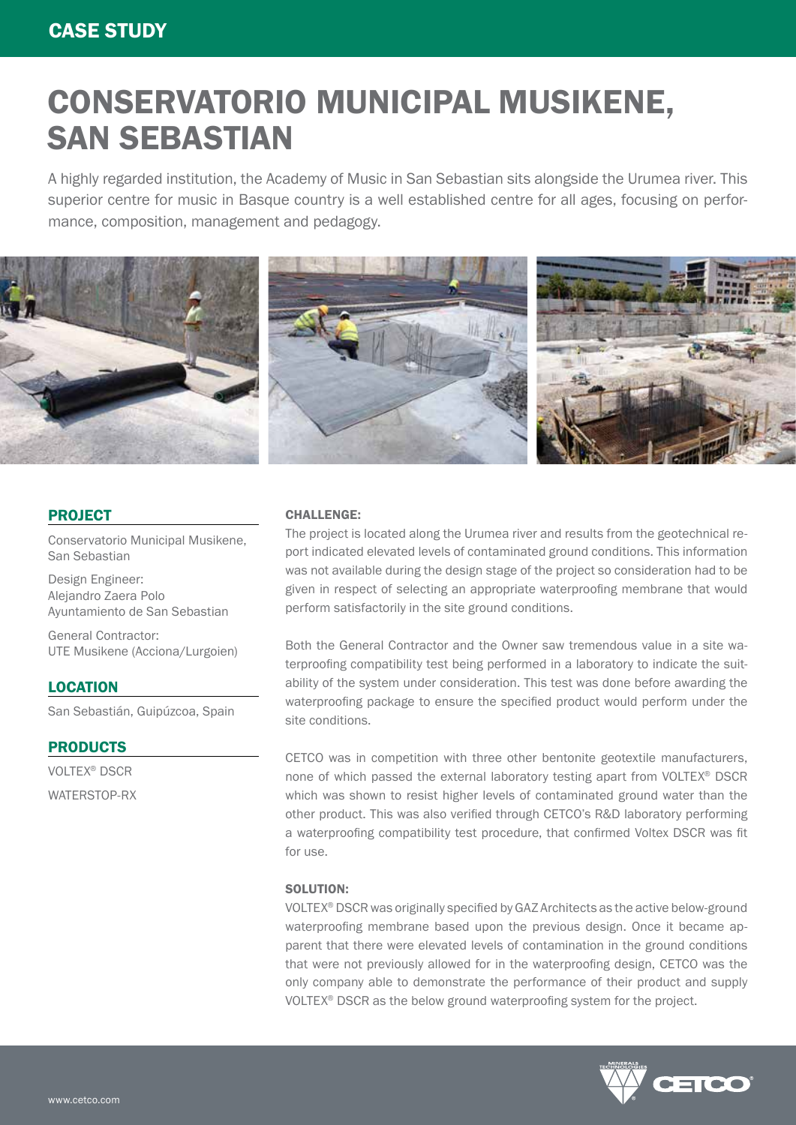# CONSERVATORIO MUNICIPAL MUSIKENE, SAN SEBASTIAN

A highly regarded institution, the Academy of Music in San Sebastian sits alongside the Urumea river. This superior centre for music in Basque country is a well established centre for all ages, focusing on performance, composition, management and pedagogy.



## PROJECT

Conservatorio Municipal Musikene, San Sebastian

Design Engineer: Alejandro Zaera Polo Ayuntamiento de San Sebastian

General Contractor: UTE Musikene (Acciona/Lurgoien)

# **LOCATION**

San Sebastián, Guipúzcoa, Spain

### PRODUCTS

VOLTEX® DSCR WATERSTOP-RX

### CHALLENGE:

The project is located along the Urumea river and results from the geotechnical report indicated elevated levels of contaminated ground conditions. This information was not available during the design stage of the project so consideration had to be given in respect of selecting an appropriate waterproofing membrane that would perform satisfactorily in the site ground conditions.

Both the General Contractor and the Owner saw tremendous value in a site waterproofing compatibility test being performed in a laboratory to indicate the suitability of the system under consideration. This test was done before awarding the waterproofing package to ensure the specified product would perform under the site conditions.

CETCO was in competition with three other bentonite geotextile manufacturers, none of which passed the external laboratory testing apart from VOLTEX® DSCR which was shown to resist higher levels of contaminated ground water than the other product. This was also verified through CETCO's R&D laboratory performing a waterproofing compatibility test procedure, that confirmed Voltex DSCR was fit for use.

### SOLUTION:

VOLTEX® DSCR was originally specified by GAZ Architects as the active below-ground waterproofing membrane based upon the previous design. Once it became apparent that there were elevated levels of contamination in the ground conditions that were not previously allowed for in the waterproofing design, CETCO was the only company able to demonstrate the performance of their product and supply VOLTEX® DSCR as the below ground waterproofing system for the project.